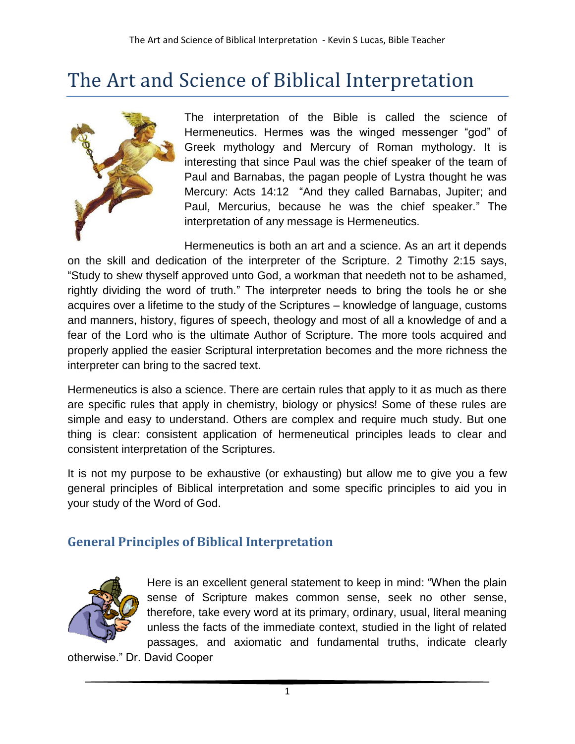## The Art and Science of Biblical Interpretation



The interpretation of the Bible is called the science of Hermeneutics. Hermes was the winged messenger "god" of Greek mythology and Mercury of Roman mythology. It is interesting that since Paul was the chief speaker of the team of Paul and Barnabas, the pagan people of Lystra thought he was Mercury: Acts 14:12 "And they called Barnabas, Jupiter; and Paul, Mercurius, because he was the chief speaker." The interpretation of any message is Hermeneutics.

Hermeneutics is both an art and a science. As an art it depends on the skill and dedication of the interpreter of the Scripture. 2 Timothy 2:15 says, "Study to shew thyself approved unto God, a workman that needeth not to be ashamed, rightly dividing the word of truth." The interpreter needs to bring the tools he or she acquires over a lifetime to the study of the Scriptures – knowledge of language, customs and manners, history, figures of speech, theology and most of all a knowledge of and a fear of the Lord who is the ultimate Author of Scripture. The more tools acquired and properly applied the easier Scriptural interpretation becomes and the more richness the interpreter can bring to the sacred text.

Hermeneutics is also a science. There are certain rules that apply to it as much as there are specific rules that apply in chemistry, biology or physics! Some of these rules are simple and easy to understand. Others are complex and require much study. But one thing is clear: consistent application of hermeneutical principles leads to clear and consistent interpretation of the Scriptures.

It is not my purpose to be exhaustive (or exhausting) but allow me to give you a few general principles of Biblical interpretation and some specific principles to aid you in your study of the Word of God.

## **General Principles of Biblical Interpretation**



Here is an excellent general statement to keep in mind: "When the plain sense of Scripture makes common sense, seek no other sense, therefore, take every word at its primary, ordinary, usual, literal meaning unless the facts of the immediate context, studied in the light of related passages, and axiomatic and fundamental truths, indicate clearly

otherwise." Dr. David Cooper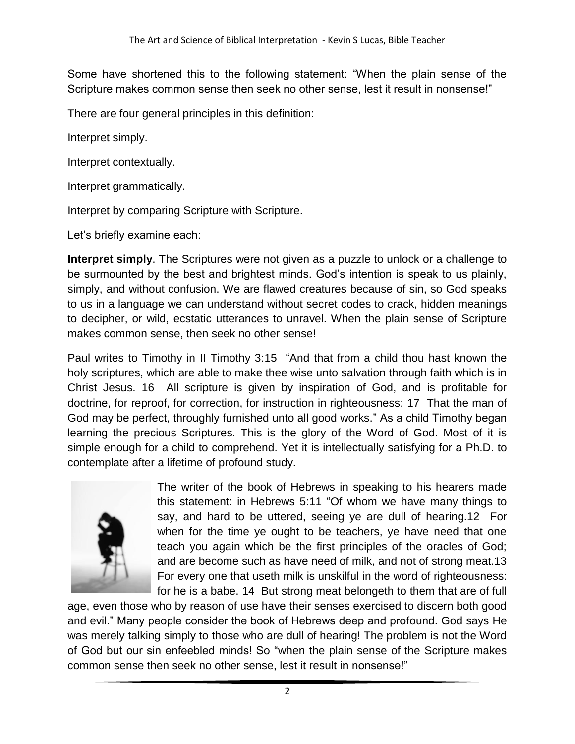Some have shortened this to the following statement: "When the plain sense of the Scripture makes common sense then seek no other sense, lest it result in nonsense!"

There are four general principles in this definition:

Interpret simply.

Interpret contextually.

Interpret grammatically.

Interpret by comparing Scripture with Scripture.

Let's briefly examine each:

**Interpret simply**. The Scriptures were not given as a puzzle to unlock or a challenge to be surmounted by the best and brightest minds. God's intention is speak to us plainly, simply, and without confusion. We are flawed creatures because of sin, so God speaks to us in a language we can understand without secret codes to crack, hidden meanings to decipher, or wild, ecstatic utterances to unravel. When the plain sense of Scripture makes common sense, then seek no other sense!

Paul writes to Timothy in II Timothy 3:15 "And that from a child thou hast known the holy scriptures, which are able to make thee wise unto salvation through faith which is in Christ Jesus. 16 All scripture is given by inspiration of God, and is profitable for doctrine, for reproof, for correction, for instruction in righteousness: 17 That the man of God may be perfect, throughly furnished unto all good works." As a child Timothy began learning the precious Scriptures. This is the glory of the Word of God. Most of it is simple enough for a child to comprehend. Yet it is intellectually satisfying for a Ph.D. to contemplate after a lifetime of profound study.



The writer of the book of Hebrews in speaking to his hearers made this statement: in Hebrews 5:11 "Of whom we have many things to say, and hard to be uttered, seeing ye are dull of hearing.12 For when for the time ye ought to be teachers, ye have need that one teach you again which be the first principles of the oracles of God; and are become such as have need of milk, and not of strong meat.13 For every one that useth milk is unskilful in the word of righteousness: for he is a babe. 14 But strong meat belongeth to them that are of full

age, even those who by reason of use have their senses exercised to discern both good and evil." Many people consider the book of Hebrews deep and profound. God says He was merely talking simply to those who are dull of hearing! The problem is not the Word of God but our sin enfeebled minds! So "when the plain sense of the Scripture makes common sense then seek no other sense, lest it result in nonsense!"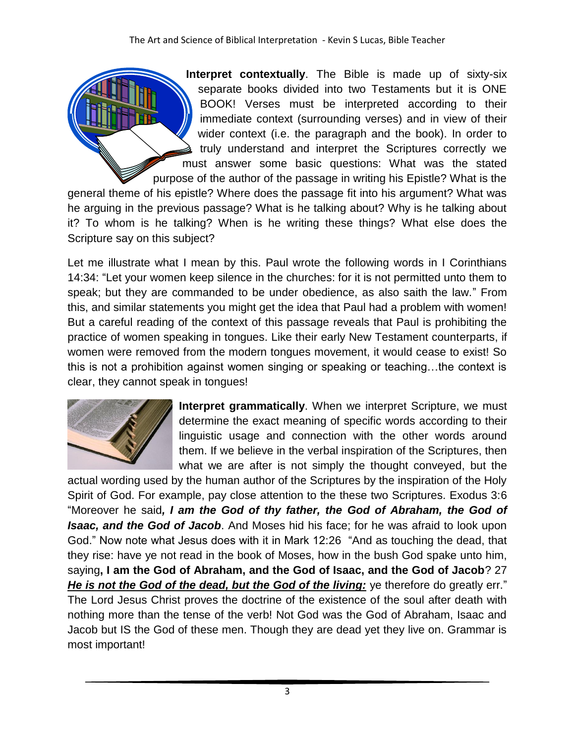**Interpret contextually**. The Bible is made up of sixty-six separate books divided into two Testaments but it is ONE BOOK! Verses must be interpreted according to their immediate context (surrounding verses) and in view of their wider context (i.e. the paragraph and the book). In order to truly understand and interpret the Scriptures correctly we must answer some basic questions: What was the stated purpose of the author of the passage in writing his Epistle? What is the

general theme of his epistle? Where does the passage fit into his argument? What was he arguing in the previous passage? What is he talking about? Why is he talking about it? To whom is he talking? When is he writing these things? What else does the Scripture say on this subject?

Let me illustrate what I mean by this. Paul wrote the following words in I Corinthians 14:34: "Let your women keep silence in the churches: for it is not permitted unto them to speak; but they are commanded to be under obedience, as also saith the law." From this, and similar statements you might get the idea that Paul had a problem with women! But a careful reading of the context of this passage reveals that Paul is prohibiting the practice of women speaking in tongues. Like their early New Testament counterparts, if women were removed from the modern tongues movement, it would cease to exist! So this is not a prohibition against women singing or speaking or teaching…the context is clear, they cannot speak in tongues!



**Interpret grammatically**. When we interpret Scripture, we must determine the exact meaning of specific words according to their linguistic usage and connection with the other words around them. If we believe in the verbal inspiration of the Scriptures, then what we are after is not simply the thought conveyed, but the

actual wording used by the human author of the Scriptures by the inspiration of the Holy Spirit of God. For example, pay close attention to the these two Scriptures. Exodus 3:6 "Moreover he said*, I am the God of thy father, the God of Abraham, the God of Isaac, and the God of Jacob*. And Moses hid his face; for he was afraid to look upon God." Now note what Jesus does with it in Mark 12:26 "And as touching the dead, that they rise: have ye not read in the book of Moses, how in the bush God spake unto him, saying**, I am the God of Abraham, and the God of Isaac, and the God of Jacob**? 27 He is not the God of the dead, but the God of the living: ye therefore do greatly err." The Lord Jesus Christ proves the doctrine of the existence of the soul after death with nothing more than the tense of the verb! Not God was the God of Abraham, Isaac and Jacob but IS the God of these men. Though they are dead yet they live on. Grammar is most important!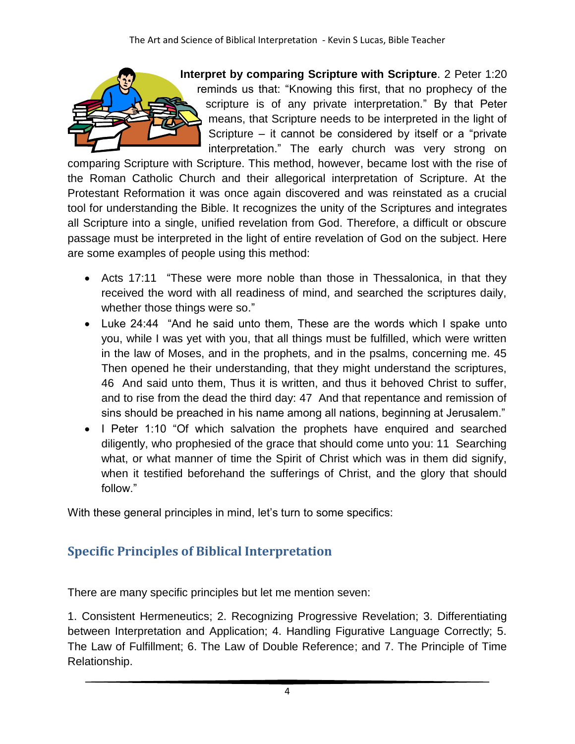

**Interpret by comparing Scripture with Scripture**. 2 Peter 1:20 reminds us that: "Knowing this first, that no prophecy of the scripture is of any private interpretation." By that Peter means, that Scripture needs to be interpreted in the light of Scripture – it cannot be considered by itself or a "private interpretation." The early church was very strong on

comparing Scripture with Scripture. This method, however, became lost with the rise of the Roman Catholic Church and their allegorical interpretation of Scripture. At the Protestant Reformation it was once again discovered and was reinstated as a crucial tool for understanding the Bible. It recognizes the unity of the Scriptures and integrates all Scripture into a single, unified revelation from God. Therefore, a difficult or obscure passage must be interpreted in the light of entire revelation of God on the subject. Here are some examples of people using this method:

- Acts 17:11 "These were more noble than those in Thessalonica, in that they received the word with all readiness of mind, and searched the scriptures daily, whether those things were so."
- Luke 24:44 "And he said unto them, These are the words which I spake unto you, while I was yet with you, that all things must be fulfilled, which were written in the law of Moses, and in the prophets, and in the psalms, concerning me. 45 Then opened he their understanding, that they might understand the scriptures, 46 And said unto them, Thus it is written, and thus it behoved Christ to suffer, and to rise from the dead the third day: 47 And that repentance and remission of sins should be preached in his name among all nations, beginning at Jerusalem."
- I Peter 1:10 "Of which salvation the prophets have enquired and searched diligently, who prophesied of the grace that should come unto you: 11 Searching what, or what manner of time the Spirit of Christ which was in them did signify, when it testified beforehand the sufferings of Christ, and the glory that should follow."

With these general principles in mind, let's turn to some specifics:

## **Specific Principles of Biblical Interpretation**

There are many specific principles but let me mention seven:

1. Consistent Hermeneutics; 2. Recognizing Progressive Revelation; 3. Differentiating between Interpretation and Application; 4. Handling Figurative Language Correctly; 5. The Law of Fulfillment; 6. The Law of Double Reference; and 7. The Principle of Time Relationship.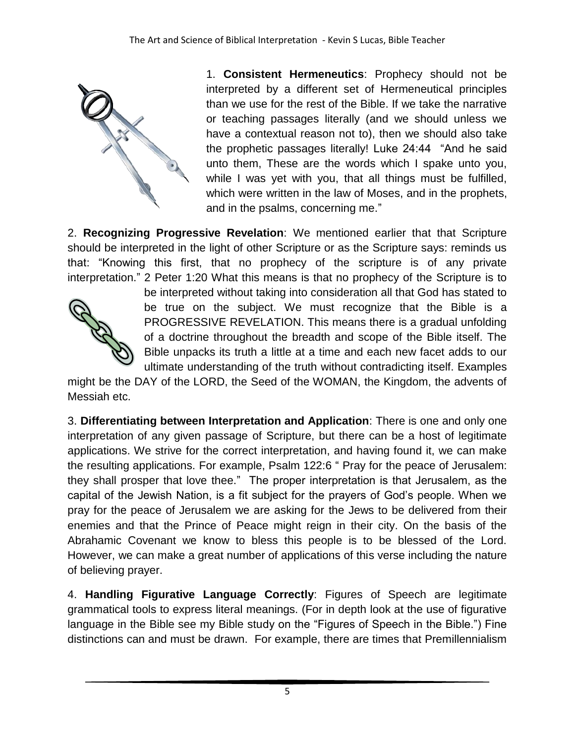

1. **Consistent Hermeneutics**: Prophecy should not be interpreted by a different set of Hermeneutical principles than we use for the rest of the Bible. If we take the narrative or teaching passages literally (and we should unless we have a contextual reason not to), then we should also take the prophetic passages literally! Luke 24:44 "And he said unto them, These are the words which I spake unto you, while I was yet with you, that all things must be fulfilled, which were written in the law of Moses, and in the prophets, and in the psalms, concerning me."

2. **Recognizing Progressive Revelation**: We mentioned earlier that that Scripture should be interpreted in the light of other Scripture or as the Scripture says: reminds us that: "Knowing this first, that no prophecy of the scripture is of any private interpretation." 2 Peter 1:20 What this means is that no prophecy of the Scripture is to



be interpreted without taking into consideration all that God has stated to be true on the subject. We must recognize that the Bible is a PROGRESSIVE REVELATION. This means there is a gradual unfolding of a doctrine throughout the breadth and scope of the Bible itself. The Bible unpacks its truth a little at a time and each new facet adds to our ultimate understanding of the truth without contradicting itself. Examples

might be the DAY of the LORD, the Seed of the WOMAN, the Kingdom, the advents of Messiah etc.

3. **Differentiating between Interpretation and Application**: There is one and only one interpretation of any given passage of Scripture, but there can be a host of legitimate applications. We strive for the correct interpretation, and having found it, we can make the resulting applications. For example, Psalm 122:6 " Pray for the peace of Jerusalem: they shall prosper that love thee." The proper interpretation is that Jerusalem, as the capital of the Jewish Nation, is a fit subject for the prayers of God's people. When we pray for the peace of Jerusalem we are asking for the Jews to be delivered from their enemies and that the Prince of Peace might reign in their city. On the basis of the Abrahamic Covenant we know to bless this people is to be blessed of the Lord. However, we can make a great number of applications of this verse including the nature of believing prayer.

4. **Handling Figurative Language Correctly**: Figures of Speech are legitimate grammatical tools to express literal meanings. (For in depth look at the use of figurative language in the Bible see my Bible study on the "Figures of Speech in the Bible.") Fine distinctions can and must be drawn. For example, there are times that Premillennialism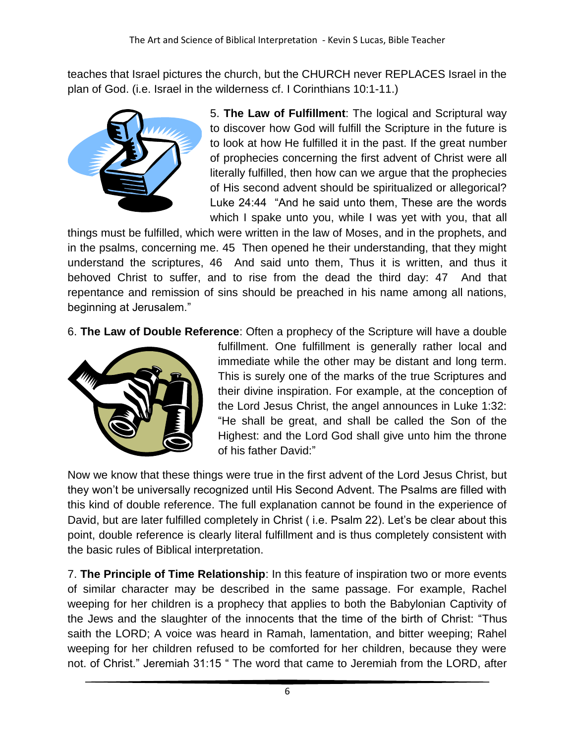teaches that Israel pictures the church, but the CHURCH never REPLACES Israel in the plan of God. (i.e. Israel in the wilderness cf. I Corinthians 10:1-11.)



5. **The Law of Fulfillment**: The logical and Scriptural way to discover how God will fulfill the Scripture in the future is to look at how He fulfilled it in the past. If the great number of prophecies concerning the first advent of Christ were all literally fulfilled, then how can we argue that the prophecies of His second advent should be spiritualized or allegorical? Luke 24:44 "And he said unto them, These are the words which I spake unto you, while I was yet with you, that all

things must be fulfilled, which were written in the law of Moses, and in the prophets, and in the psalms, concerning me. 45 Then opened he their understanding, that they might understand the scriptures, 46 And said unto them, Thus it is written, and thus it behoved Christ to suffer, and to rise from the dead the third day: 47 And that repentance and remission of sins should be preached in his name among all nations, beginning at Jerusalem."

6. **The Law of Double Reference**: Often a prophecy of the Scripture will have a double



fulfillment. One fulfillment is generally rather local and immediate while the other may be distant and long term. This is surely one of the marks of the true Scriptures and their divine inspiration. For example, at the conception of the Lord Jesus Christ, the angel announces in Luke 1:32: "He shall be great, and shall be called the Son of the Highest: and the Lord God shall give unto him the throne of his father David:"

Now we know that these things were true in the first advent of the Lord Jesus Christ, but they won't be universally recognized until His Second Advent. The Psalms are filled with this kind of double reference. The full explanation cannot be found in the experience of David, but are later fulfilled completely in Christ ( i.e. Psalm 22). Let's be clear about this point, double reference is clearly literal fulfillment and is thus completely consistent with the basic rules of Biblical interpretation.

7. **The Principle of Time Relationship**: In this feature of inspiration two or more events of similar character may be described in the same passage. For example, Rachel weeping for her children is a prophecy that applies to both the Babylonian Captivity of the Jews and the slaughter of the innocents that the time of the birth of Christ: "Thus saith the LORD; A voice was heard in Ramah, lamentation, and bitter weeping; Rahel weeping for her children refused to be comforted for her children, because they were not. of Christ." Jeremiah 31:15 " The word that came to Jeremiah from the LORD, after